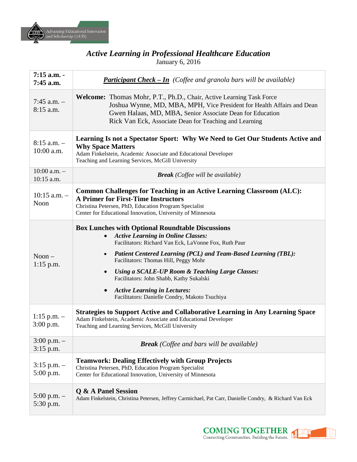

# *Active Learning in Professional Healthcare Education*

January 6, 2016

| $7:15$ a.m. -<br>$7:45$ a.m.    | <b>Participant Check – In</b> (Coffee and granola bars will be available)                                                                                                                                                                                                                                                                                                                                                                                                                         |
|---------------------------------|---------------------------------------------------------------------------------------------------------------------------------------------------------------------------------------------------------------------------------------------------------------------------------------------------------------------------------------------------------------------------------------------------------------------------------------------------------------------------------------------------|
| $7:45$ a.m. $-$<br>8:15 a.m.    | <b>Welcome:</b> Thomas Mohr, P.T., Ph.D., Chair, Active Learning Task Force<br>Joshua Wynne, MD, MBA, MPH, Vice President for Health Affairs and Dean<br>Gwen Halaas, MD, MBA, Senior Associate Dean for Education<br>Rick Van Eck, Associate Dean for Teaching and Learning                                                                                                                                                                                                                      |
| $8:15$ a.m. $-$<br>$10:00$ a.m. | Learning Is not a Spectator Sport: Why We Need to Get Our Students Active and<br><b>Why Space Matters</b><br>Adam Finkelstein, Academic Associate and Educational Developer<br>Teaching and Learning Services, McGill University                                                                                                                                                                                                                                                                  |
| $10:00$ a.m. $-$<br>10:15 a.m.  | <b>Break</b> (Coffee will be available)                                                                                                                                                                                                                                                                                                                                                                                                                                                           |
| $10:15$ a.m. $-$<br>Noon        | <b>Common Challenges for Teaching in an Active Learning Classroom (ALC):</b><br><b>A Primer for First-Time Instructors</b><br>Christina Petersen, PhD, Education Program Specialist<br>Center for Educational Innovation, University of Minnesota                                                                                                                                                                                                                                                 |
| $N$ oon $-$<br>$1:15$ p.m.      | <b>Box Lunches with Optional Roundtable Discussions</b><br><b>Active Learning in Online Classes:</b><br>Facilitators: Richard Van Eck, LaVonne Fox, Ruth Paur<br><b>Patient Centered Learning (PCL) and Team-Based Learning (TBL):</b><br>Facilitators: Thomas Hill, Peggy Mohr<br>Using a SCALE-UP Room & Teaching Large Classes:<br>$\bullet$<br>Facilitators: John Shabb, Kathy Sukalski<br><b>Active Learning in Lectures:</b><br>$\bullet$<br>Facilitators: Danielle Condry, Makoto Tsuchiya |
| $1:15$ p.m. $-$<br>3:00 p.m.    | <b>Strategies to Support Active and Collaborative Learning in Any Learning Space</b><br>Adam Finkelstein, Academic Associate and Educational Developer<br>Teaching and Learning Services, McGill University                                                                                                                                                                                                                                                                                       |
| $3:00$ p.m. $-$<br>$3:15$ p.m.  | <b>Break</b> (Coffee and bars will be available)                                                                                                                                                                                                                                                                                                                                                                                                                                                  |
| $3:15$ p.m. $-$<br>5:00 p.m.    | <b>Teamwork: Dealing Effectively with Group Projects</b><br>Christina Petersen, PhD, Education Program Specialist<br>Center for Educational Innovation, University of Minnesota                                                                                                                                                                                                                                                                                                                   |
| 5:00 p.m. $-$<br>5:30 p.m.      | Q & A Panel Session<br>Adam Finkelstein, Christina Petersen, Jeffrey Carmichael, Pat Carr, Danielle Condry, & Richard Van Eck                                                                                                                                                                                                                                                                                                                                                                     |

**COMING TOGETHER**<br>Connecting Communities. Building the Future.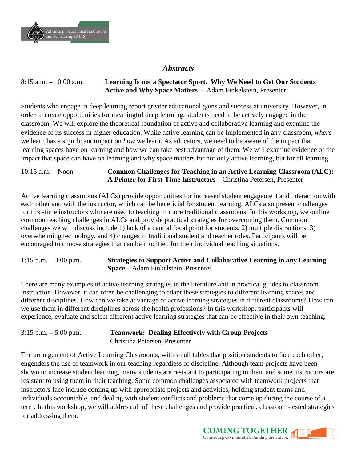

### *Abstracts*

8:15 a.m. – 10:00 a.m. **Learning Is not a Spectator Sport. Why We Need to Get Our Students Active and Why Space Matters –** Adam Finkelstein, Presenter

Students who engage in deep learning report greater educational gains and success at university. However, in order to create opportunities for meaningful deep learning, students need to be actively engaged in the classroom. We will explore the theoretical foundation of active and collaborative learning and examine the evidence of its success in higher education. While active learning can be implemented in any classroom, *where* we learn has a significant impact on *how* we learn. As educators, we need to be aware of the impact that learning spaces have on learning and how we can take best advantage of them. We will examine evidence of the impact that space can have on learning and why space matters for not only active learning, but for all learning.

#### 10:15 a.m. – Noon **Common Challenges for Teaching in an Active Learning Classroom (ALC): A Primer for First-Time Instructors –** Christina Petersen, Presenter

Active learning classrooms (ALCs) provide opportunities for increased student engagement and interaction with each other and with the instructor, which can be beneficial for student learning. ALCs also present challenges for first-time instructors who are used to teaching in more traditional classrooms. In this workshop, we outline common teaching challenges in ALCs and provide practical strategies for overcoming them. Common challenges we will discuss include 1) lack of a central focal point for students, 2) multiple distractions, 3) overwhelming technology, and 4) changes in traditional student and teacher roles. Participants will be encouraged to choose strategies that can be modified for their individual teaching situations.

#### 1:15 p.m. – 3:00 p.m. **Strategies to Support Active and Collaborative Learning in any Learning Space –** Adam Finkelstein, Presenter

There are many examples of active learning strategies in the literature and in practical guides to classroom instruction. However, it can often be challenging to adapt these strategies to different learning spaces and different disciplines. How can we take advantage of active learning strategies in different classrooms? How can we use them in different disciplines across the health professions? In this workshop, participants will experience, evaluate and select different active learning strategies that can be effective in their own teaching.

#### 3:15 p.m. – 5:00 p.m. **Teamwork: Dealing Effectively with Group Projects** Christina Petersen, Presenter

The arrangement of Active Learning Classrooms, with small tables that position students to face each other, engenders the use of teamwork in our teaching regardless of discipline. Although team projects have been shown to increase student learning, many students are resistant to participating in them and some instructors are resistant to using them in their teaching. Some common challenges associated with teamwork projects that instructors face include coming up with appropriate projects and activities, holding student teams and individuals accountable, and dealing with student conflicts and problems that come up during the course of a term. In this workshop, we will address all of these challenges and provide practical, classroom-tested strategies for addressing them.

> **COMING TOGETHER** Connecting Communities. Building the Future.